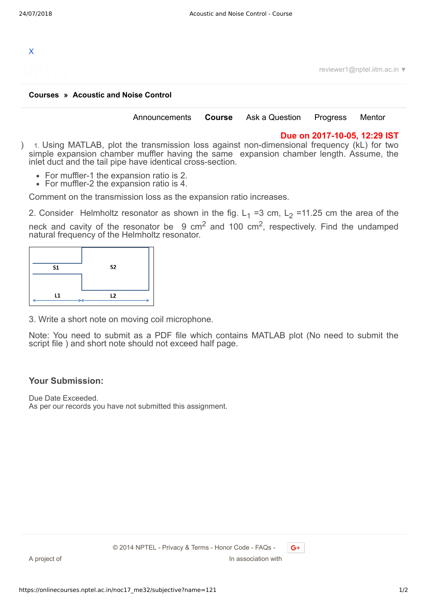

reviewer1@nptel.iitm.ac.in ▼

## **[Courses](https://onlinecourses.nptel.ac.in/) » [Acoustic and Noise Control](https://onlinecourses.nptel.ac.in/noc17_me32/course)**

| Announcements | Course | Ask a Question | Progress | Mentor |  |
|---------------|--------|----------------|----------|--------|--|
|               |        |                |          |        |  |

## **Due on 2017-10-05, 12:29 IST**

- ) 1. Using MATLAB, plot the transmission loss against non-dimensional frequency (kL) for two simple expansion chamber muffler having the same expansion chamber length. Assume, the inlet duct and the tail pipe have identical cross-section.
	- For muffler-1 the expansion ratio is 2.
	- For muffler-2 the expansion ratio is 4.

Comment on the transmission loss as the expansion ratio increases.

2. Consider Helmholtz resonator as shown in the fig.  $L_1$  =3 cm,  $L_2$  =11.25 cm the area of the neck and cavity of the resonator be  $9 \text{ cm}^2$  and 100 cm<sup>2</sup>, respectively. Find the undamped natural frequency of the Helmholtz resonator.



3. Write a short note on moving coil microphone.

Note: You need to submit as a PDF file which contains MATLAB plot (No need to submit the script file ) and short note should not exceed half page.

## **Your Submission:**

Due Date Exceeded. As per our records you have not submitted this assignment.

 $G+$ 

A project of **In association with** 

© 2014 NPTEL - Privacy & Terms - Honor Code - FAQs -